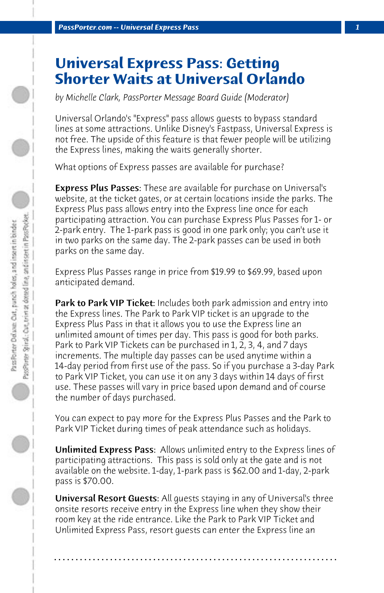## **Universal Express Pass: Getting Shorter Waits at Universal Orlando**

*by Michelle Clark, PassPorter Message Board Guide (Moderator)*

Universal Orlando's "Express" pass allows guests to bypass standard lines at some attractions. Unlike Disney's Fastpass, Universal Express is not free. The upside of this feature is that fewer people will be utilizing the Express lines, making the waits generally shorter.

What options of Express passes are available for purchase?

**Express Plus Passes:** These are available for purchase on Universal's website, at the ticket gates, or at certain locations inside the parks. The Express Plus pass allows entry into the Express line once for each participating attraction. You can purchase Express Plus Passes for 1- or 2-park entry. The 1-park pass is good in one park only; you can't use it in two parks on the same day. The 2-park passes can be used in both parks on the same day.

Express Plus Passes range in price from \$19.99 to \$69.99, based upon anticipated demand.

**Park to Park VIP Ticket:** Includes both park admission and entry into the Express lines. The Park to Park VIP ticket is an upgrade to the Express Plus Pass in that it allows you to use the Express line an unlimited amount of times per day. This pass is good for both parks. Park to Park VIP Tickets can be purchased in 1, 2, 3, 4, and 7 days increments. The multiple day passes can be used anytime within a 14-day period from first use of the pass. So if you purchase a 3-day Park to Park VIP Ticket, you can use it on any 3 days within 14 days of first use. These passes will vary in price based upon demand and of course the number of days purchased.

You can expect to pay more for the Express Plus Passes and the Park to Park VIP Ticket during times of peak attendance such as holidays.

Unlimited Express Pass: Allows unlimited entry to the Express lines of participating attractions. This pass is sold only at the gate and is not available on the website. 1-day, 1-park pass is \$62.00 and 1-day, 2-park pass is \$70.00.

Universal Resort Guests: All quests staying in any of Universal's three onsite resorts receive entry in the Express line when they show their room key at the ride entrance. Like the Park to Park VIP Ticket and Unlimited Express Pass, resort guests can enter the Express line an

**. . . . . . . . . . . . . . . . . . . . . . . . . . . . . . . . . . . . . . . . . . . . . . . . . . . . . . . . . . . . . . . . . .**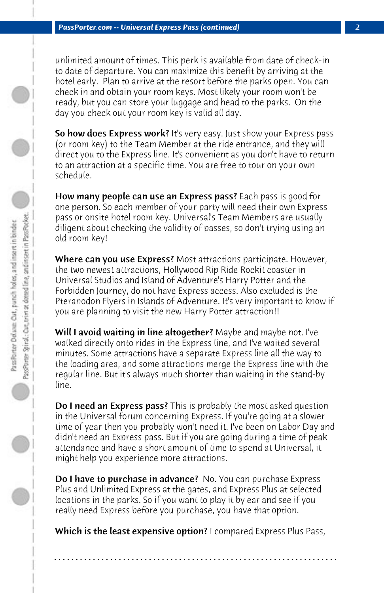unlimited amount of times. This perk is available from date of check-in to date of departure. You can maximize this benefit by arriving at the hotel early. Plan to arrive at the resort before the parks open. You can check in and obtain your room keys. Most likely your room won't be ready, but you can store your luggage and head to the parks. On the day you check out your room key is valid all day.

So how does Express work? It's very easy. Just show your Express pass (or room key) to the Team Member at the ride entrance, and they will direct you to the Express line. It's convenient as you don't have to return to an attraction at a specific time. You are free to tour on your own schedule.

How many people can use an Express pass? Each pass is good for one person. So each member of your party will need their own Express pass or onsite hotel room key. Universal's Team Members are usually diligent about checking the validity of passes, so don't trying using an old room key!

Where can you use Express? Most attractions participate. However, the two newest attractions, Hollywood Rip Ride Rockit coaster in Universal Studios and Island of Adventure's Harry Potter and the Forbidden Journey, do not have Express access. Also excluded is the Pteranodon Flyers in Islands of Adventure. It's very important to know if you are planning to visit the new Harry Potter attraction!!

Will I avoid waiting in line altogether? Maybe and maybe not. I've walked directly onto rides in the Express line, and I've waited several minutes. Some attractions have a separate Express line all the way to the loading area, and some attractions merge the Express line with the regular line. But it's always much shorter than waiting in the stand-by line.

Do I need an Express pass? This is probably the most asked question in the Universal forum concerning Express. If you're going at a slower time of year then you probably won't need it. I've been on Labor Day and didn't need an Express pass. But if you are going during a time of peak attendance and have a short amount of time to spend at Universal, it might help you experience more attractions.

**Do I have to purchase in advance?** No. You can purchase Express Plus and Unlimited Express at the gates, and Express Plus at selected locations in the parks. So if you want to play it by ear and see if you really need Express before you purchase, you have that option.

Which is the least expensive option? I compared Express Plus Pass,

**. . . . . . . . . . . . . . . . . . . . . . . . . . . . . . . . . . . . . . . . . . . . . . . . . . . . . . . . . . . . . . . . . .**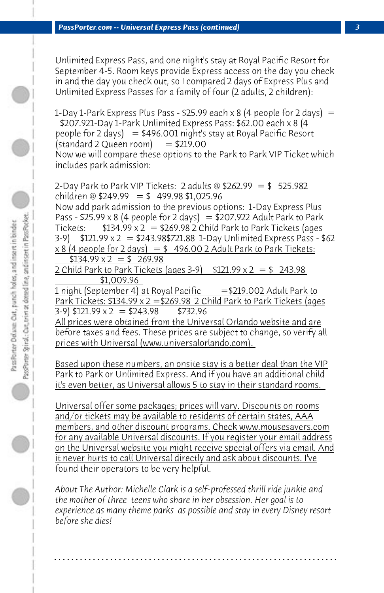Unlimited Express Pass, and one night's stay at Royal Pacific Resort for September 4-5. Room keys provide Express access on the day you check in and the day you check out, so I compared 2 days of Express Plus and Unlimited Express Passes for a family of four (2 adults, 2 children):

1-Day 1-Park Express Plus Pass - \$25.99 each x 8 (4 people for 2 days)  $=$  \$207.921-Day 1-Park Unlimited Express Pass: \$62.00 each x 8 (4 people for 2 days)  $= $496.001$  night's stay at Royal Pacific Resort  $(statard 2 Queen room) = $219.00$ Now we will compare these options to the Park to Park VIP Ticket which includes park admission:

2-Day Park to Park VIP Tickets: 2 adults @  $$262.99 = $$  525.982 children @  $$249.99 = $ 499.98 $1,025.96$ Now add park admission to the previous options: 1-Day Express Plus Pass - \$25.99 x 8 (4 people for 2 days) = \$207.922 Adult Park to Park Tickets:  $$134.99 \times 2 = $269.98 \times 2 \text{ Child Park to Park Tickets (ages})$  $3-9$  \$121.99 x 2 = \$243.98\$721.88 1-Day Unlimited Express Pass - \$62  $x 8$  (4 people for 2 days) = \$ 496.00 2 Adult Park to Park Tickets:  $$134.99 \times 2 = $269.98$ 

2 Child Park to Park Tickets (ages 3-9)  $$121.99 \times 2 = $243.98$  \$1,009.96

1 night (September 4) at Royal Pacific  $= $219.002$  Adult Park to Park Tickets: \$134.99 x 2 = \$269.98 2 Child Park to Park Tickets (ages  $(3-9)$  \$121.99 x 2 = \$243.98 \$732.96

All prices were obtained from the Universal Orlando website and are before taxes and fees. These prices are subject to change, so verify all prices with Universal (www.universalorlando.com).

Based upon these numbers, an onsite stay is a better deal than the VIP Park to Park or Unlimited Express. And if you have an additional child it's even better, as Universal allows 5 to stay in their standard rooms.

Universal offer some packages; prices will vary. Discounts on rooms and/or tickets may be available to residents of certain states, AAA members, and other discount programs. Check www.mousesavers.com for any available Universal discounts. If you register your email address on the Universal website you might receive special offers via email. And it never hurts to call Universal directly and ask about discounts. I've found their operators to be very helpful.

*About The Author: Michelle Clark is a self-professed thrill ride junkie and the mother of three teens who share in her obsession. Her goal is to experience as many theme parks as possible and stay in every Disney resort before she dies!*

**. . . . . . . . . . . . . . . . . . . . . . . . . . . . . . . . . . . . . . . . . . . . . . . . . . . . . . . . . . . . . . . . . .**